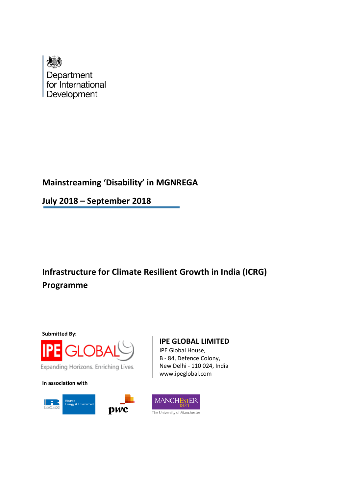

# **Mainstreaming 'Disability' in MGNREGA**

**July 2018 – September 2018**

# **Infrastructure for Climate Resilient Growth in India (ICRG) Programme**



**In association with**



### **IPE GLOBAL LIMITED**

IPE Global House, B - 84, Defence Colony, New Delhi - 110 024, India www.ipeglobal.com

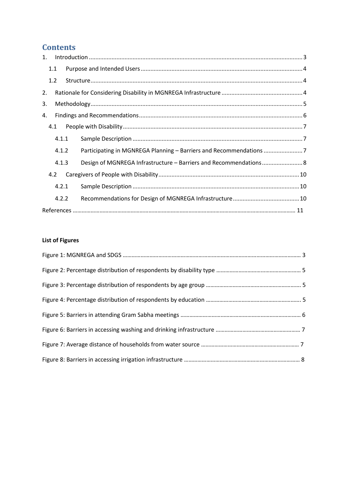# **Contents**

| 1.  |       |                                                                    |
|-----|-------|--------------------------------------------------------------------|
| 1.1 |       |                                                                    |
| 1.2 |       |                                                                    |
| 2.  |       |                                                                    |
| 3.  |       |                                                                    |
| 4.  |       |                                                                    |
|     | 4.1   |                                                                    |
|     | 4.1.1 |                                                                    |
|     | 4.1.2 | Participating in MGNREGA Planning - Barriers and Recommendations 7 |
|     | 4.1.3 | Design of MGNREGA Infrastructure - Barriers and Recommendations 8  |
| 4.2 |       |                                                                    |
|     | 4.2.1 |                                                                    |
|     | 4.2.2 |                                                                    |
|     |       |                                                                    |

### **List of Figures**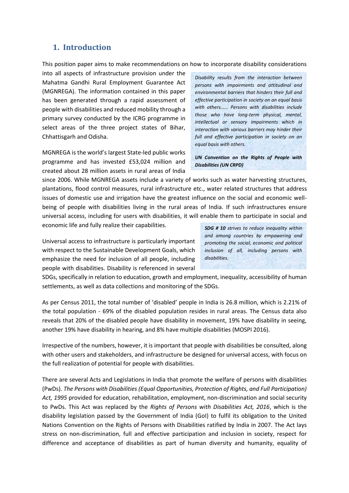#### <span id="page-2-0"></span>**1. Introduction**

This position paper aims to make recommendations on how to incorporate disability considerations

into all aspects of infrastructure provision under the Mahatma Gandhi Rural Employment Guarantee Act (MGNREGA). The information contained in this paper has been generated through a rapid assessment of people with disabilities and reduced mobility through a primary survey conducted by the ICRG programme in select areas of the three project states of Bihar, Chhattisgarh and Odisha.

MGNREGA is the world's largest State-led public works programme and has invested £53,024 million and created about 28 million assets in rural areas of India

*Disability results from the interaction between persons with impairments and attitudinal and environmental barriers that hinders their full and effective participation in society on an equal basis with others…… Persons with disabilities include those who have long-term physical, mental, intellectual or sensory impairments which in interaction with various barriers may hinder their full and effective participation in society on an equal basis with others.*

*UN Convention on the Rights of People with Disabilities (UN CRPD)*

since 2006. While MGNREGA assets include a variety of works such as water harvesting structures, plantations, flood control measures, rural infrastructure etc., water related structures that address issues of domestic use and irrigation have the greatest influence on the social and economic wellbeing of people with disabilities living in the rural areas of India. If such infrastructures ensure universal access, including for users with disabilities, it will enable them to participate in social and economic life and fully realize their capabilities.

Universal access to infrastructure is particularly important with respect to the Sustainable Development Goals, which emphasize the need for inclusion of all people, including people with disabilities. Disability is referenced in several

*SDG # 10 strives to reduce inequality within and among countries by empowering and promoting the social, economic and political inclusion of all, including persons with disabilities.* 

SDGs, specifically in relation to education, growth and employment, inequality, accessibility of human settlements, as well as data collections and monitoring of the SDGs.

As per Census 2011, the total number of 'disabled' people in India is 26.8 million, which is 2.21% of the total population - 69% of the disabled population resides in rural areas. The Census data also reveals that 20% of the disabled people have disability in movement, 19% have disability in seeing, another 19% have disability in hearing, and 8% have multiple disabilities (MOSPI 2016).

Irrespective of the numbers, however, it is important that people with disabilities be consulted, along with other users and stakeholders, and infrastructure be designed for universal access, with focus on the full realization of potential for people with disabilities.

There are several Acts and Legislations in India that promote the welfare of persons with disabilities (PwDs). *The Persons with Disabilities (Equal Opportunities, Protection of Rights, and Full Participation) Act, 1995* provided for education, rehabilitation, employment, non-discrimination and social security to PwDs. This Act was replaced by the *Rights of Persons with Disabilities Act, 2016*, which is the disability legislation passed by the Government of India (GoI) to fulfil its obligation to the United Nations Convention on the Rights of Persons with Disabilities ratified by India in 2007. The Act lays stress on non-discrimination, full and effective participation and inclusion in society, respect for difference and acceptance of disabilities as part of human diversity and humanity, equality of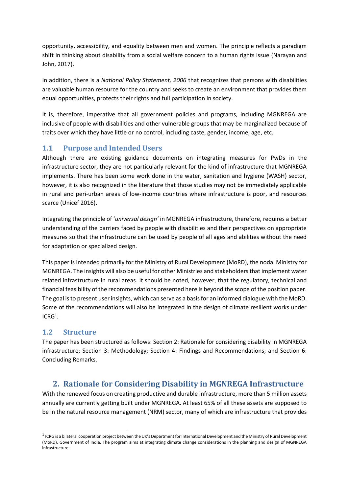opportunity, accessibility, and equality between men and women. The principle reflects a paradigm shift in thinking about disability from a social welfare concern to a human rights issue (Narayan and John, 2017).

In addition, there is a *National Policy Statement, 2006* that recognizes that persons with disabilities are valuable human resource for the country and seeks to create an environment that provides them equal opportunities, protects their rights and full participation in society.

It is, therefore, imperative that all government policies and programs, including MGNREGA are inclusive of people with disabilities and other vulnerable groups that may be marginalized because of traits over which they have little or no control, including caste, gender, income, age, etc.

### <span id="page-3-0"></span>**1.1 Purpose and Intended Users**

Although there are existing guidance documents on integrating measures for PwDs in the infrastructure sector, they are not particularly relevant for the kind of infrastructure that MGNREGA implements. There has been some work done in the water, sanitation and hygiene (WASH) sector, however, it is also recognized in the literature that those studies may not be immediately applicable in rural and peri-urban areas of low-income countries where infrastructure is poor, and resources scarce (Unicef 2016).

Integrating the principle of '*universal design'* in MGNREGA infrastructure, therefore, requires a better understanding of the barriers faced by people with disabilities and their perspectives on appropriate measures so that the infrastructure can be used by people of all ages and abilities without the need for adaptation or specialized design.

This paper is intended primarily for the Ministry of Rural Development (MoRD), the nodal Ministry for MGNREGA. The insights will also be useful for other Ministries and stakeholders that implement water related infrastructure in rural areas. It should be noted, however, that the regulatory, technical and financial feasibility of the recommendations presented here is beyond the scope of the position paper. The goal is to present user insights, which can serve as a basis for an informed dialogue with the MoRD. Some of the recommendations will also be integrated in the design of climate resilient works under  $ICRG<sup>1</sup>$ .

#### <span id="page-3-1"></span>**1.2 Structure**

**.** 

The paper has been structured as follows: Section 2: Rationale for considering disability in MGNREGA infrastructure; Section 3: Methodology; Section 4: Findings and Recommendations; and Section 6: Concluding Remarks.

## <span id="page-3-2"></span>**2. Rationale for Considering Disability in MGNREGA Infrastructure**

With the renewed focus on creating productive and durable infrastructure, more than 5 million assets annually are currently getting built under MGNREGA. At least 65% of all these assets are supposed to be in the natural resource management (NRM) sector, many of which are infrastructure that provides

<sup>&</sup>lt;sup>1</sup> ICRG is a bilateral cooperation project between the UK's Department for International Development and the Ministry of Rural Development (MoRD), Government of India. The program aims at integrating climate change considerations in the planning and design of MGNREGA infrastructure.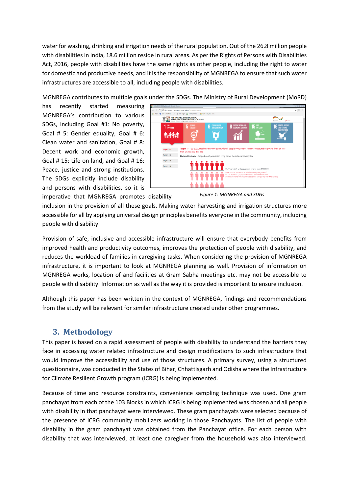water for washing, drinking and irrigation needs of the rural population. Out of the 26.8 million people with disabilities in India, 18.6 million reside in rural areas. As per the Rights of Persons with Disabilities Act, 2016, people with disabilities have the same rights as other people, including the right to water for domestic and productive needs, and it is the responsibility of MGNREGA to ensure that such water infrastructures are accessible to all, including people with disabilities.

MGNREGA contributes to multiple goals under the SDGs. The Ministry of Rural Development (MoRD)

has recently started measuring MGNREGA's contribution to various SDGs, including Goal #1: No poverty, Goal # 5: Gender equality, Goal # 6: Clean water and sanitation, Goal # 8: Decent work and economic growth, Goal # 15: Life on land, and Goal # 16: Peace, justice and strong institutions. The SDGs explicitly include disability and persons with disabilities, so it is



imperative that MGNREGA promotes disability

*Figure 1: MGNREGA and SDGs*

inclusion in the provision of all these goals. Making water harvesting and irrigation structures more accessible for all by applying universal design principles benefits everyone in the community, including people with disability.

Provision of safe, inclusive and accessible infrastructure will ensure that everybody benefits from improved health and productivity outcomes, improves the protection of people with disability, and reduces the workload of families in caregiving tasks. When considering the provision of MGNREGA infrastructure, it is important to look at MGNREGA planning as well. Provision of information on MGNREGA works, location of and facilities at Gram Sabha meetings etc. may not be accessible to people with disability. Information as well as the way it is provided is important to ensure inclusion.

Although this paper has been written in the context of MGNREGA, findings and recommendations from the study will be relevant for similar infrastructure created under other programmes.

### <span id="page-4-0"></span>**3. Methodology**

This paper is based on a rapid assessment of people with disability to understand the barriers they face in accessing water related infrastructure and design modifications to such infrastructure that would improve the accessibility and use of those structures. A primary survey, using a structured questionnaire, was conducted in the States of Bihar, Chhattisgarh and Odisha where the Infrastructure for Climate Resilient Growth program (ICRG) is being implemented.

Because of time and resource constraints, convenience sampling technique was used. One gram panchayat from each of the 103 Blocks in which ICRG is being implemented was chosen and all people with disability in that panchayat were interviewed. These gram panchayats were selected because of the presence of ICRG community mobilizers working in those Panchayats. The list of people with disability in the gram panchayat was obtained from the Panchayat office. For each person with disability that was interviewed, at least one caregiver from the household was also interviewed.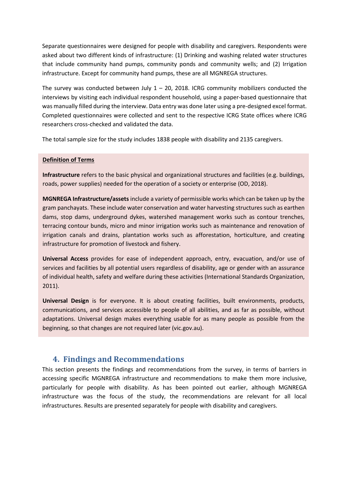Separate questionnaires were designed for people with disability and caregivers. Respondents were asked about two different kinds of infrastructure: (1) Drinking and washing related water structures that include community hand pumps, community ponds and community wells; and (2) Irrigation infrastructure. Except for community hand pumps, these are all MGNREGA structures.

The survey was conducted between July  $1 - 20$ , 2018. ICRG community mobilizers conducted the interviews by visiting each individual respondent household, using a paper-based questionnaire that was manually filled during the interview. Data entry was done later using a pre-designed excel format. Completed questionnaires were collected and sent to the respective ICRG State offices where ICRG researchers cross-checked and validated the data.

The total sample size for the study includes 1838 people with disability and 2135 caregivers.

#### **Definition of Terms**

**Infrastructure** refers to the basic physical and organizational structures and facilities (e.g. buildings, roads, power supplies) needed for the operation of a society or enterprise (OD, 2018).

**MGNREGA Infrastructure/assets** include a variety of permissible works which can be taken up by the gram panchayats. These include water conservation and water harvesting structures such as earthen dams, stop dams, underground dykes, watershed management works such as contour trenches, terracing contour bunds, micro and minor irrigation works such as maintenance and renovation of irrigation canals and drains, plantation works such as afforestation, horticulture, and creating infrastructure for promotion of livestock and fishery.

**Universal Access** provides for ease of independent approach, entry, evacuation, and/or use of services and facilities by all potential users regardless of disability, age or gender with an assurance of individual health, safety and welfare during these activities (International Standards Organization, 2011).

**Universal Design** is for everyone. It is about creating facilities, built environments, products, communications, and services accessible to people of all abilities, and as far as possible, without adaptations. Universal design makes everything usable for as many people as possible from the beginning, so that changes are not required later (vic.gov.au).

### <span id="page-5-0"></span>**4. Findings and Recommendations**

This section presents the findings and recommendations from the survey, in terms of barriers in accessing specific MGNREGA infrastructure and recommendations to make them more inclusive, particularly for people with disability. As has been pointed out earlier, although MGNREGA infrastructure was the focus of the study, the recommendations are relevant for all local infrastructures. Results are presented separately for people with disability and caregivers.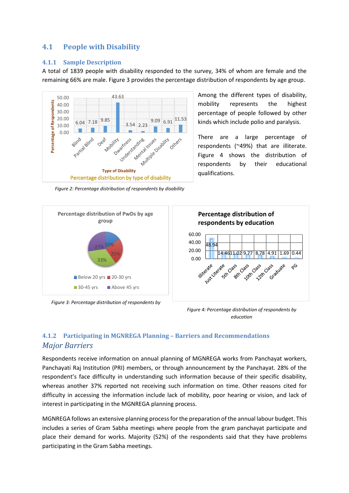#### <span id="page-6-0"></span>**4.1 People with Disability**

#### <span id="page-6-1"></span>**4.1.1 Sample Description**

A total of 1839 people with disability responded to the survey, 34% of whom are female and the remaining 66% are male. Figure 3 provides the percentage distribution of respondents by age group.



Among the different types of disability, mobility represents the highest percentage of people followed by other kinds which include polio and paralysis.

There are a large percentage of respondents (~49%) that are illiterate. Figure 4 shows the distribution of respondents by their educational qualifications.



*Figure 3: Percentage distribution of respondents by* 

*Figure 4: Percentage distribution of respondents by education*

### <span id="page-6-2"></span>**4.1.2 Participating in MGNREGA Planning – Barriers and Recommendations** *Major Barriers*

Respondents receive information on annual planning of MGNREGA works from Panchayat workers, Panchayati Raj Institution (PRI) members, or through announcement by the Panchayat. 28% of the respondent's face difficulty in understanding such information because of their specific disability, whereas another 37% reported not receiving such information on time. Other reasons cited for difficulty in accessing the information include lack of mobility, poor hearing or vision, and lack of interest in participating in the MGNREGA planning process.

MGNREGA follows an extensive planning process for the preparation of the annual labour budget. This includes a series of Gram Sabha meetings where people from the gram panchayat participate and place their demand for works. Majority (52%) of the respondents said that they have problems participating in the Gram Sabha meetings.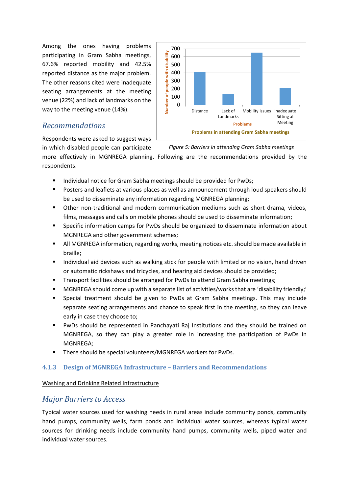Among the ones having problems participating in Gram Sabha meetings, 67.6% reported mobility and 42.5% reported distance as the major problem. The other reasons cited were inadequate seating arrangements at the meeting venue (22%) and lack of landmarks on the way to the meeting venue (14%).

### *Recommendations*

Respondents were asked to suggest ways in which disabled people can participate



#### *Figure 5: Barriers in attending Gram Sabha meetings*

more effectively in MGNREGA planning. Following are the recommendations provided by the respondents:

- Individual notice for Gram Sabha meetings should be provided for PwDs;
- Posters and leaflets at various places as well as announcement through loud speakers should be used to disseminate any information regarding MGNREGA planning;
- Other non-traditional and modern communication mediums such as short drama, videos, films, messages and calls on mobile phones should be used to disseminate information;
- Specific information camps for PwDs should be organized to disseminate information about MGNREGA and other government schemes;
- All MGNREGA information, regarding works, meeting notices etc. should be made available in braille;
- **■** Individual aid devices such as walking stick for people with limited or no vision, hand driven or automatic rickshaws and tricycles, and hearing aid devices should be provided;
- Transport facilities should be arranged for PwDs to attend Gram Sabha meetings;
- MGNREGA should come up with a separate list of activities/works that are 'disability friendly;'
- Special treatment should be given to PwDs at Gram Sabha meetings. This may include separate seating arrangements and chance to speak first in the meeting, so they can leave early in case they choose to;
- PwDs should be represented in Panchayati Raj Institutions and they should be trained on MGNREGA, so they can play a greater role in increasing the participation of PwDs in MGNREGA;
- There should be special volunteers/MGNREGA workers for PwDs.

#### <span id="page-7-0"></span>**4.1.3 Design of MGNREGA Infrastructure – Barriers and Recommendations**

Washing and Drinking Related Infrastructure

#### *Major Barriers to Access*

Typical water sources used for washing needs in rural areas include community ponds, community hand pumps, community wells, farm ponds and individual water sources, whereas typical water sources for drinking needs include community hand pumps, community wells, piped water and individual water sources.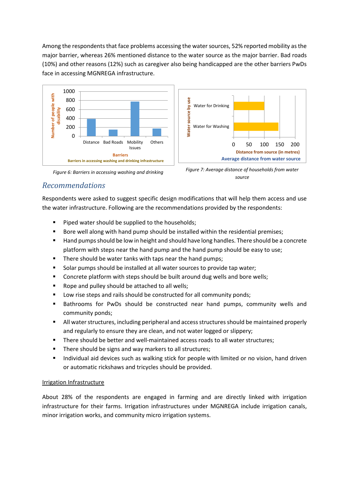Among the respondents that face problems accessing the water sources, 52% reported mobility as the major barrier, whereas 26% mentioned distance to the water source as the major barrier. Bad roads (10%) and other reasons (12%) such as caregiver also being handicapped are the other barriers PwDs face in accessing MGNREGA infrastructure.



*Figure 6: Barriers in accessing washing and drinking* 



*Figure 7: Average distance of households from water source*

### *Recommendations*

Respondents were asked to suggest specific design modifications that will help them access and use the water infrastructure. Following are the recommendations provided by the respondents:

- Piped water should be supplied to the households;
- Bore well along with hand pump should be installed within the residential premises;
- Hand pumps should be low in height and should have long handles. There should be a concrete platform with steps near the hand pump and the hand pump should be easy to use;
- There should be water tanks with taps near the hand pumps;
- Solar pumps should be installed at all water sources to provide tap water;
- Concrete platform with steps should be built around dug wells and bore wells;
- Rope and pulley should be attached to all wells;
- Low rise steps and rails should be constructed for all community ponds;
- **■** Bathrooms for PwDs should be constructed near hand pumps, community wells and community ponds;
- All water structures, including peripheral and access structures should be maintained properly and regularly to ensure they are clean, and not water logged or slippery;
- There should be better and well-maintained access roads to all water structures;
- There should be signs and way markers to all structures;
- Individual aid devices such as walking stick for people with limited or no vision, hand driven or automatic rickshaws and tricycles should be provided.

#### Irrigation Infrastructure

About 28% of the respondents are engaged in farming and are directly linked with irrigation infrastructure for their farms. Irrigation infrastructures under MGNREGA include irrigation canals, minor irrigation works, and community micro irrigation systems.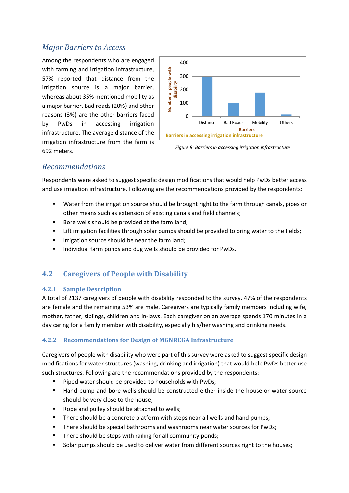### *Major Barriers to Access*

Among the respondents who are engaged with farming and irrigation infrastructure, 57% reported that distance from the irrigation source is a major barrier, whereas about 35% mentioned mobility as a major barrier. Bad roads (20%) and other reasons (3%) are the other barriers faced by PwDs in accessing irrigation infrastructure. The average distance of the irrigation infrastructure from the farm is 692 meters.



*Figure 8: Barriers in accessing irrigation infrastructure*

#### *Recommendations*

Respondents were asked to suggest specific design modifications that would help PwDs better access and use irrigation infrastructure. Following are the recommendations provided by the respondents:

- Water from the irrigation source should be brought right to the farm through canals, pipes or other means such as extension of existing canals and field channels;
- Bore wells should be provided at the farm land;
- **E** Lift irrigation facilities through solar pumps should be provided to bring water to the fields;
- **■** Irrigation source should be near the farm land;
- Individual farm ponds and dug wells should be provided for PwDs.

#### <span id="page-9-0"></span>**4.2 Caregivers of People with Disability**

#### <span id="page-9-1"></span>**4.2.1 Sample Description**

A total of 2137 caregivers of people with disability responded to the survey. 47% of the respondents are female and the remaining 53% are male. Caregivers are typically family members including wife, mother, father, siblings, children and in-laws. Each caregiver on an average spends 170 minutes in a day caring for a family member with disability, especially his/her washing and drinking needs.

#### <span id="page-9-2"></span>**4.2.2 Recommendations for Design of MGNREGA Infrastructure**

Caregivers of people with disability who were part of this survey were asked to suggest specific design modifications for water structures (washing, drinking and irrigation) that would help PwDs better use such structures. Following are the recommendations provided by the respondents:

- Piped water should be provided to households with PwDs;
- Hand pump and bore wells should be constructed either inside the house or water source should be very close to the house;
- Rope and pulley should be attached to wells;
- **E** There should be a concrete platform with steps near all wells and hand pumps;
- There should be special bathrooms and washrooms near water sources for PwDs;
- There should be steps with railing for all community ponds;
- Solar pumps should be used to deliver water from different sources right to the houses;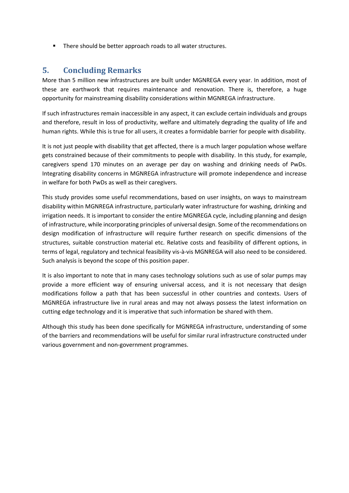■ There should be better approach roads to all water structures.

## **5. Concluding Remarks**

More than 5 million new infrastructures are built under MGNREGA every year. In addition, most of these are earthwork that requires maintenance and renovation. There is, therefore, a huge opportunity for mainstreaming disability considerations within MGNREGA infrastructure.

If such infrastructures remain inaccessible in any aspect, it can exclude certain individuals and groups and therefore, result in loss of productivity, welfare and ultimately degrading the quality of life and human rights. While this is true for all users, it creates a formidable barrier for people with disability.

It is not just people with disability that get affected, there is a much larger population whose welfare gets constrained because of their commitments to people with disability. In this study, for example, caregivers spend 170 minutes on an average per day on washing and drinking needs of PwDs. Integrating disability concerns in MGNREGA infrastructure will promote independence and increase in welfare for both PwDs as well as their caregivers.

This study provides some useful recommendations, based on user insights, on ways to mainstream disability within MGNREGA infrastructure, particularly water infrastructure for washing, drinking and irrigation needs. It is important to consider the entire MGNREGA cycle, including planning and design of infrastructure, while incorporating principles of universal design. Some of the recommendations on design modification of infrastructure will require further research on specific dimensions of the structures, suitable construction material etc. Relative costs and feasibility of different options, in terms of legal, regulatory and technical feasibility vis-à-vis MGNREGA will also need to be considered. Such analysis is beyond the scope of this position paper.

It is also important to note that in many cases technology solutions such as use of solar pumps may provide a more efficient way of ensuring universal access, and it is not necessary that design modifications follow a path that has been successful in other countries and contexts. Users of MGNREGA infrastructure live in rural areas and may not always possess the latest information on cutting edge technology and it is imperative that such information be shared with them.

Although this study has been done specifically for MGNREGA infrastructure, understanding of some of the barriers and recommendations will be useful for similar rural infrastructure constructed under various government and non-government programmes.